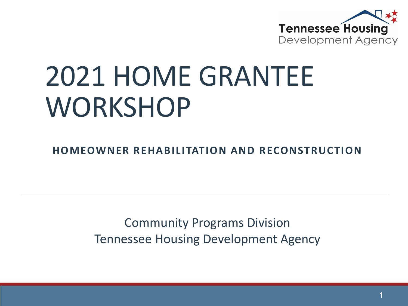

# 2021 HOME GRANTEE **WORKSHOP**

**HOMEOWNER REHABILITATION AND RECONSTRUCTION**

Community Programs Division Tennessee Housing Development Agency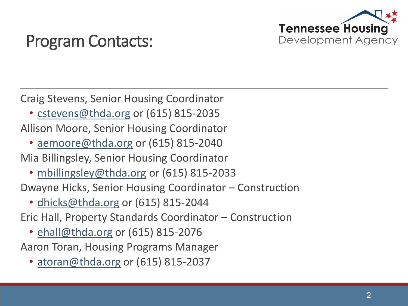

## Program Contacts:

Craig Stevens, Senior Housing Coordinator

• [cstevens@thda.org](mailto:cstevens@thda.org) or (615) 815-2035

Allison Moore, Senior Housing Coordinator

• [aemoore@thda.org](mailto:aemoore@thda.org) or (615) 815-2040

Mia Billingsley, Senior Housing Coordinator

• [mbillingsley@thda.org](mailto:mbillingsley@thda.org) or (615) 815-2033

Dwayne Hicks, Senior Housing Coordinator – Construction

• [dhicks@thda.org](mailto:dhicks@thda.org) or (615) 815-2044

Eric Hall, Property Standards Coordinator – Construction

• [ehall@thda.org](mailto:ehall@thda.org) or (615) 815-2076

Aaron Toran, Housing Programs Manager

• [atoran@thda.org](mailto:atoran@thda.org) or (615) 815-2037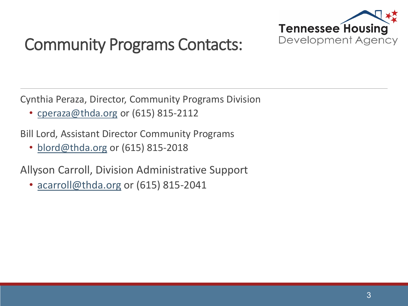

## Community Programs Contacts:

Cynthia Peraza, Director, Community Programs Division

• [cperaza@thda.org](mailto:dwatt@thda.org) or (615) 815-2112

Bill Lord, Assistant Director Community Programs

• [blord@thda.org](mailto:blord@thda.org) or (615) 815-2018

Allyson Carroll, Division Administrative Support

• [acarroll@thda.org](mailto:acarroll@thda.org) or (615) 815-2041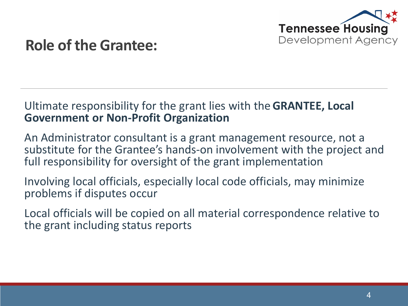

### **Role of the Grantee:**

#### Ultimate responsibility for the grant lies with the **GRANTEE, Local Government or Non-Profit Organization**

An Administrator consultant is a grant management resource, not a substitute for the Grantee's hands-on involvement with the project and full responsibility for oversight of the grant implementation

Involving local officials, especially local code officials, may minimize problems if disputes occur

Local officials will be copied on all material correspondence relative to the grant including status reports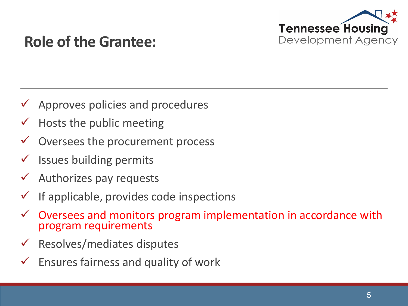

### **Role of the Grantee:**

- Approves policies and procedures
- Hosts the public meeting
- Oversees the procurement process
- Issues building permits
- Authorizes pay requests
- If applicable, provides code inspections
- Oversees and monitors program implementation in accordance with program requirements
- Resolves/mediates disputes
- Ensures fairness and quality of work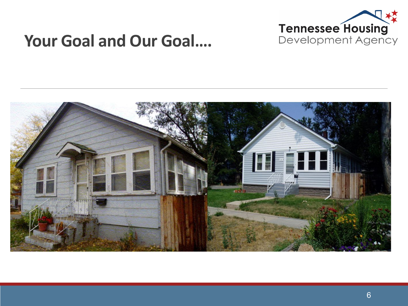

### **Your Goal and Our Goal….**

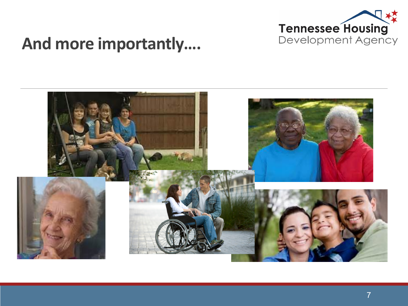

### **And more importantly….**

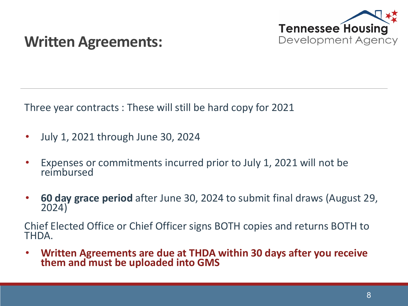

### **Written Agreements:**

Three year contracts : These will still be hard copy for 2021

- July 1, 2021 through June 30, 2024
- Expenses or commitments incurred prior to July 1, 2021 will not be reimbursed
- **60 day grace period** after June 30, 2024 to submit final draws (August 29, 2024)

Chief Elected Office or Chief Officer signs BOTH copies and returns BOTH to THDA.

• **Written Agreements are due at THDA within 30 days after you receive them and must be uploaded into GMS**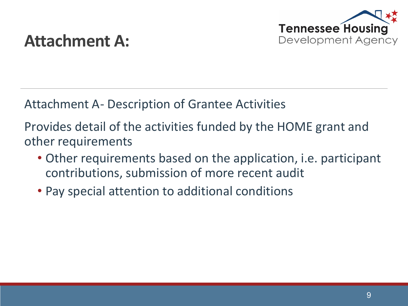

### **Attachment A:**

Attachment A- Description of Grantee Activities

Provides detail of the activities funded by the HOME grant and other requirements

- Other requirements based on the application, i.e. participant contributions, submission of more recent audit
- Pay special attention to additional conditions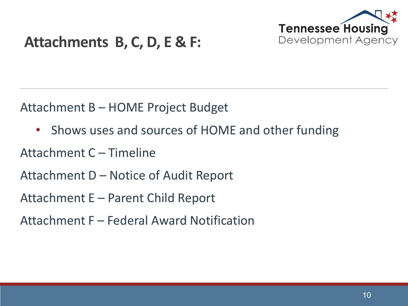

### **Attachments B, C, D, E & F:**

Attachment B – HOME Project Budget

- Shows uses and sources of HOME and other funding
- Attachment C Timeline

Attachment D – Notice of Audit Report

Attachment E – Parent Child Report

Attachment F – Federal Award Notification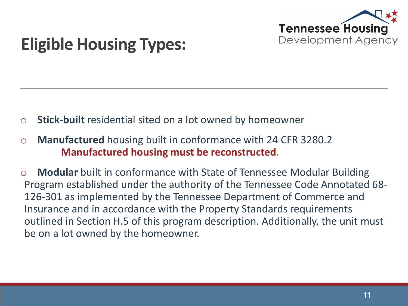

# **Eligible Housing Types:**

- o **Stick-built** residential sited on a lot owned by homeowner
- o **Manufactured** housing built in conformance with 24 CFR 3280.2 **Manufactured housing must be reconstructed**.
- o **Modular** built in conformance with State of Tennessee Modular Building Program established under the authority of the Tennessee Code Annotated 68- 126-301 as implemented by the Tennessee Department of Commerce and Insurance and in accordance with the Property Standards requirements outlined in Section H.5 of this program description. Additionally, the unit must be on a lot owned by the homeowner.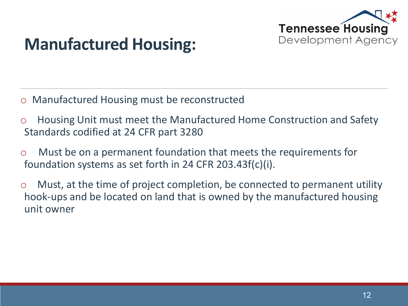

# **Manufactured Housing:**

- Manufactured Housing must be reconstructed
- o Housing Unit must meet the Manufactured Home Construction and Safety Standards codified at 24 CFR part 3280
- o Must be on a permanent foundation that meets the requirements for foundation systems as set forth in 24 CFR 203.43f(c)(i).
- $\circ$  Must, at the time of project completion, be connected to permanent utility hook-ups and be located on land that is owned by the manufactured housing unit owner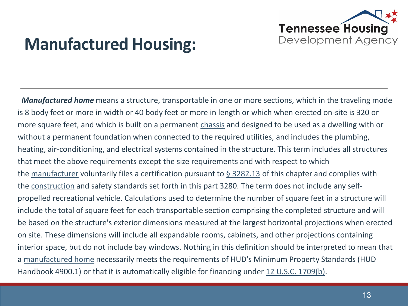

### **Manufactured Housing:**

*Manufactured home* means a structure, transportable in one or more sections, which in the traveling mode is 8 body feet or more in width or 40 body feet or more in length or which when erected on-site is 320 or more square feet, and which is built on a permanent [chassis](https://www.law.cornell.edu/definitions/index.php?width=840&height=800&iframe=true&def_id=d72faaf38c3f9f63df7966153092a6fa&term_occur=999&term_src=Title:24:Subtitle:B:Chapter:XX:Part:3280:Subpart:A:3280.2) and designed to be used as a dwelling with or without a permanent foundation when connected to the required utilities, and includes the plumbing, heating, air-conditioning, and electrical systems contained in the structure. This term includes all structures that meet the above requirements except the size requirements and with respect to which the [manufacturer](https://www.law.cornell.edu/definitions/index.php?width=840&height=800&iframe=true&def_id=48c38380b81f00910983e25256886509&term_occur=999&term_src=Title:24:Subtitle:B:Chapter:XX:Part:3280:Subpart:A:3280.2) voluntarily files a certification pursuant to § [3282.13](https://www.law.cornell.edu/cfr/text/24/3282.13) of this chapter and complies with the [construction](https://www.law.cornell.edu/definitions/index.php?width=840&height=800&iframe=true&def_id=1c7ced8aff1b9249c50daf68bdbad79c&term_occur=999&term_src=Title:24:Subtitle:B:Chapter:XX:Part:3280:Subpart:A:3280.2) and safety standards set forth in this part 3280. The term does not include any selfpropelled recreational vehicle. Calculations used to determine the number of square feet in a structure will include the total of square feet for each transportable section comprising the completed structure and will be based on the structure's exterior dimensions measured at the largest horizontal projections when erected on site. These dimensions will include all expandable rooms, cabinets, and other projections containing interior space, but do not include bay windows. Nothing in this definition should be interpreted to mean that a [manufactured home](https://www.law.cornell.edu/definitions/index.php?width=840&height=800&iframe=true&def_id=e9aab029ae752c349be902b5f14b3890&term_occur=999&term_src=Title:24:Subtitle:B:Chapter:XX:Part:3280:Subpart:A:3280.2) necessarily meets the requirements of HUD's Minimum Property Standards (HUD Handbook 4900.1) or that it is automatically eligible for financing under [12 U.S.C. 1709\(b\).](https://www.law.cornell.edu/uscode/text/12/1709#b)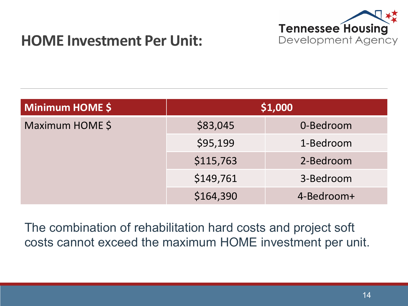

### **HOME Investment Per Unit:**

| Minimum HOME \$ | \$1,000   |            |
|-----------------|-----------|------------|
| Maximum HOME \$ | \$83,045  | 0-Bedroom  |
|                 | \$95,199  | 1-Bedroom  |
|                 | \$115,763 | 2-Bedroom  |
|                 | \$149,761 | 3-Bedroom  |
|                 | \$164,390 | 4-Bedroom+ |

The combination of rehabilitation hard costs and project soft costs cannot exceed the maximum HOME investment per unit.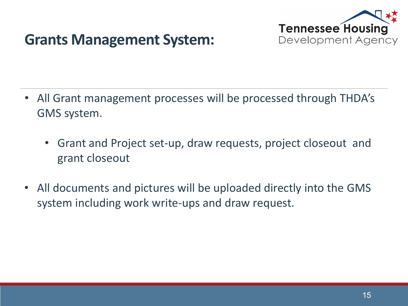

### **Grants Management System:**

- All Grant management processes will be processed through THDA's GMS system.
	- Grant and Project set-up, draw requests, project closeout and grant closeout
- All documents and pictures will be uploaded directly into the GMS system including work write-ups and draw request.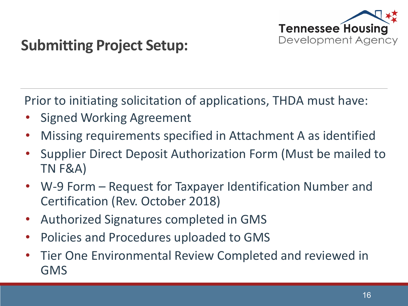

### **Submitting Project Setup:**

Prior to initiating solicitation of applications, THDA must have:

- **Signed Working Agreement**
- Missing requirements specified in Attachment A as identified
- Supplier Direct Deposit Authorization Form (Must be mailed to TN F&A)
- W-9 Form Request for Taxpayer Identification Number and Certification (Rev. October 2018)
- Authorized Signatures completed in GMS
- Policies and Procedures uploaded to GMS
- Tier One Environmental Review Completed and reviewed in GMS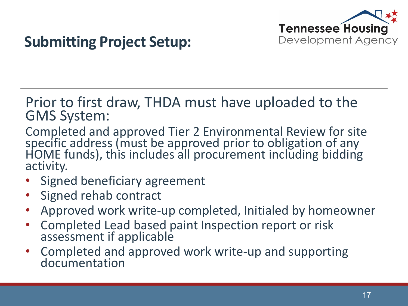

### **Submitting Project Setup:**

Prior to first draw, THDA must have uploaded to the GMS System:

Completed and approved Tier 2 Environmental Review for site specific address (must be approved prior to obligation of any HOME funds), this includes all procurement including bidding activity.

- Signed beneficiary agreement
- Signed rehab contract
- Approved work write-up completed, Initialed by homeowner
- Completed Lead based paint Inspection report or risk assessment if applicable
- Completed and approved work write-up and supporting documentation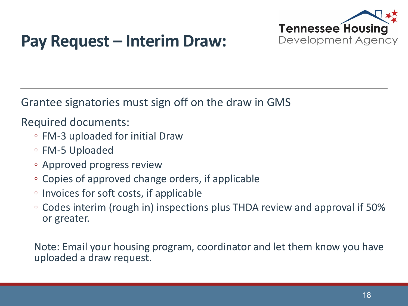

# **Pay Request – Interim Draw:**

Grantee signatories must sign off on the draw in GMS

Required documents:

- FM-3 uploaded for initial Draw
- FM-5 Uploaded
- Approved progress review
- Copies of approved change orders, if applicable
- Invoices for soft costs, if applicable
- Codes interim (rough in) inspections plus THDA review and approval if 50% or greater.

Note: Email your housing program, coordinator and let them know you have uploaded a draw request.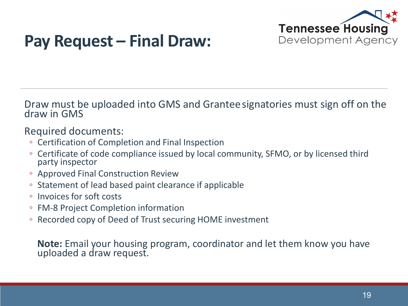

### **Pay Request – Final Draw:**

Draw must be uploaded into GMS and Grantee signatories must sign off on the draw in GMS

#### Required documents:

- Certification of Completion and Final Inspection
- Certificate of code compliance issued by local community, SFMO, or by licensed third party inspector
- Approved Final Construction Review
- Statement of lead based paint clearance if applicable
- Invoices for soft costs
- FM-8 Project Completion information
- Recorded copy of Deed of Trust securing HOME investment

**Note:** Email your housing program, coordinator and let them know you have uploaded a draw request.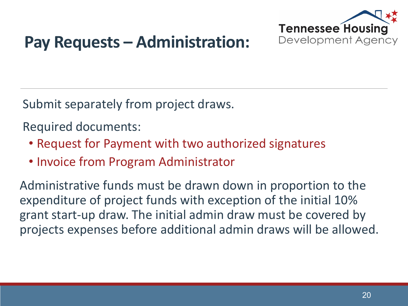

# **Pay Requests – Administration:**

Submit separately from project draws.

Required documents:

- Request for Payment with two authorized signatures
- Invoice from Program Administrator

Administrative funds must be drawn down in proportion to the expenditure of project funds with exception of the initial 10% grant start-up draw. The initial admin draw must be covered by projects expenses before additional admin draws will be allowed.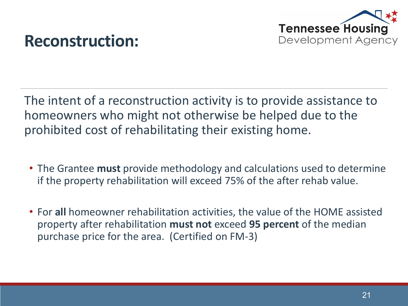

### **Reconstruction:**

The intent of a reconstruction activity is to provide assistance to homeowners who might not otherwise be helped due to the prohibited cost of rehabilitating their existing home.

- The Grantee **must** provide methodology and calculations used to determine if the property rehabilitation will exceed 75% of the after rehab value.
- For **all** homeowner rehabilitation activities, the value of the HOME assisted property after rehabilitation **must not** exceed **95 percent** of the median purchase price for the area. (Certified on FM-3)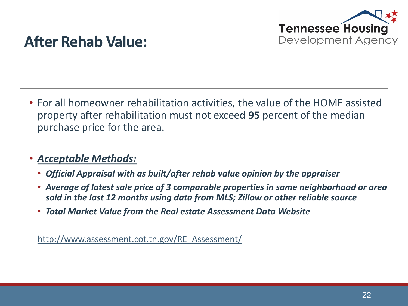

### **After Rehab Value:**

• For all homeowner rehabilitation activities, the value of the HOME assisted property after rehabilitation must not exceed **95** percent of the median purchase price for the area.

#### • *Acceptable Methods:*

- *Official Appraisal with as built/after rehab value opinion by the appraiser*
- *Average of latest sale price of 3 comparable properties in same neighborhood or area sold in the last 12 months using data from MLS; Zillow or other reliable source*
- *Total Market Value from the Real estate Assessment Data Website*

[http://www.assessment.cot.tn.gov/RE\\_Assessment/](http://www.assessment.cot.tn.gov/RE_Assessment/)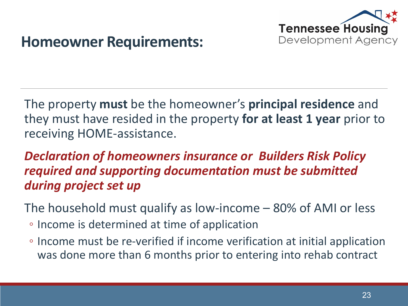

### **Homeowner Requirements:**

The property **must** be the homeowner's **principal residence** and they must have resided in the property **for at least 1 year** prior to receiving HOME-assistance.

#### *Declaration of homeowners insurance or Builders Risk Policy required and supporting documentation must be submitted during project set up*

The household must qualify as low-income – 80% of AMI or less

- Income is determined at time of application
- Income must be re-verified if income verification at initial application was done more than 6 months prior to entering into rehab contract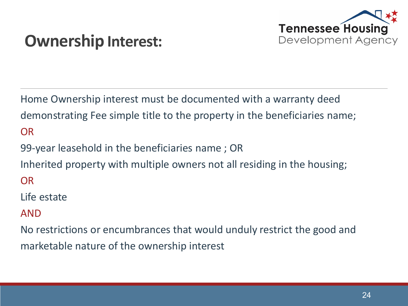

# **Ownership Interest:**

Home Ownership interest must be documented with a warranty deed demonstrating Fee simple title to the property in the beneficiaries name; OR

99-year leasehold in the beneficiaries name ; OR

Inherited property with multiple owners not all residing in the housing;

OR

Life estate

AND

No restrictions or encumbrances that would unduly restrict the good and marketable nature of the ownership interest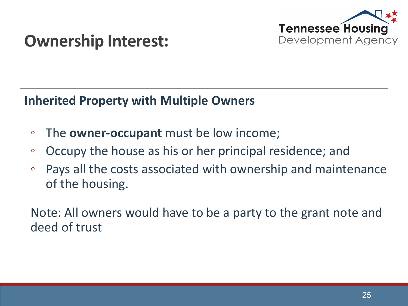

# **Ownership Interest:**

#### **Inherited Property with Multiple Owners**

- The **owner-occupant** must be low income;
- Occupy the house as his or her principal residence; and
- Pays all the costs associated with ownership and maintenance of the housing.

Note: All owners would have to be a party to the grant note and deed of trust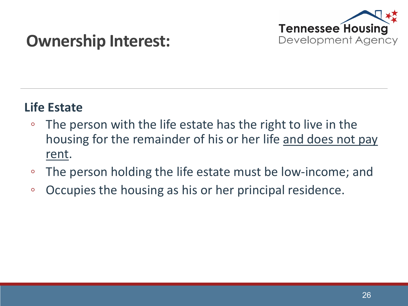

### **Ownership Interest:**

#### **Life Estate**

- The person with the life estate has the right to live in the housing for the remainder of his or her life and does not pay rent.
- The person holding the life estate must be low-income; and
- Occupies the housing as his or her principal residence.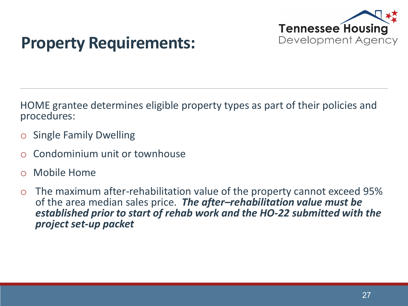

### **Property Requirements:**

HOME grantee determines eligible property types as part of their policies and procedures:

- o Single Family Dwelling
- Condominium unit or townhouse
- Mobile Home
- $\circ$  The maximum after-rehabilitation value of the property cannot exceed 95% of the area median sales price. *The after–rehabilitation value must be established prior to start of rehab work and the HO-22 submitted with the project set-up packet*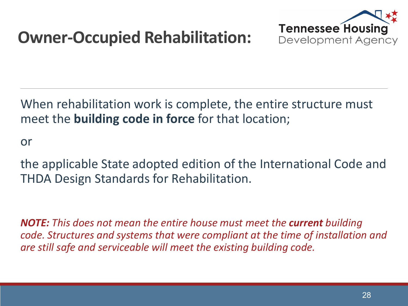



When rehabilitation work is complete, the entire structure must meet the **building code in force** for that location;

or

the applicable State adopted edition of the International Code and THDA Design Standards for Rehabilitation.

*NOTE: This does not mean the entire house must meet the current building code. Structures and systems that were compliant at the time of installation and are still safe and serviceable will meet the existing building code.*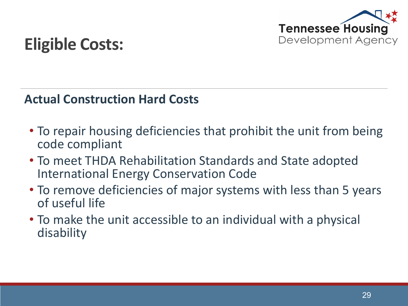

# **Eligible Costs:**

**Actual Construction Hard Costs**

- To repair housing deficiencies that prohibit the unit from being code compliant
- To meet THDA Rehabilitation Standards and State adopted International Energy Conservation Code
- To remove deficiencies of major systems with less than 5 years of useful life
- To make the unit accessible to an individual with a physical disability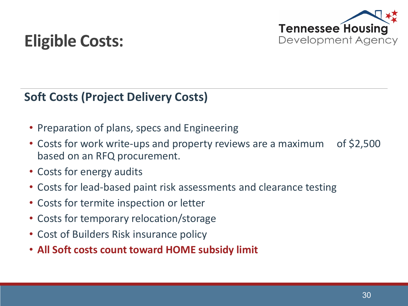

# **Eligible Costs:**

**Soft Costs (Project Delivery Costs)**

- Preparation of plans, specs and Engineering
- Costs for work write-ups and property reviews are a maximum of \$2,500 based on an RFQ procurement.
- Costs for energy audits
- Costs for lead-based paint risk assessments and clearance testing
- Costs for termite inspection or letter
- Costs for temporary relocation/storage
- Cost of Builders Risk insurance policy
- **All Soft costs count toward HOME subsidy limit**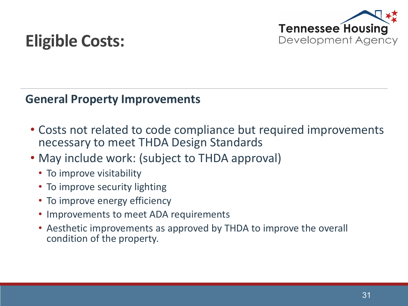

# **Eligible Costs:**

**General Property Improvements**

- Costs not related to code compliance but required improvements necessary to meet THDA Design Standards
- May include work: (subject to THDA approval)
	- To improve visitability
	- To improve security lighting
	- To improve energy efficiency
	- Improvements to meet ADA requirements
	- Aesthetic improvements as approved by THDA to improve the overall condition of the property.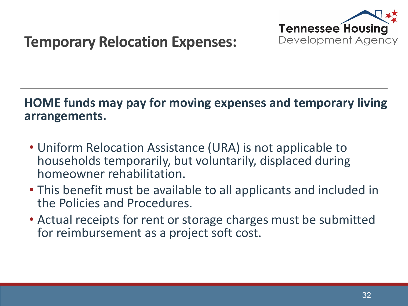

#### **HOME funds may pay for moving expenses and temporary living arrangements.**

- Uniform Relocation Assistance (URA) is not applicable to households temporarily, but voluntarily, displaced during homeowner rehabilitation.
- This benefit must be available to all applicants and included in the Policies and Procedures.
- Actual receipts for rent or storage charges must be submitted for reimbursement as a project soft cost.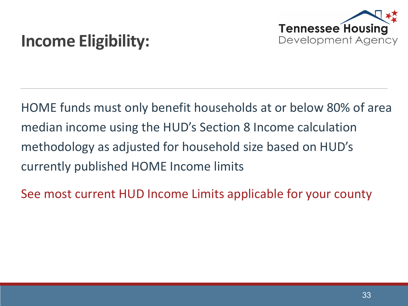

# **Income Eligibility:**

HOME funds must only benefit households at or below 80% of area median income using the HUD's Section 8 Income calculation methodology as adjusted for household size based on HUD's currently published HOME Income limits

See most current HUD Income Limits applicable for your county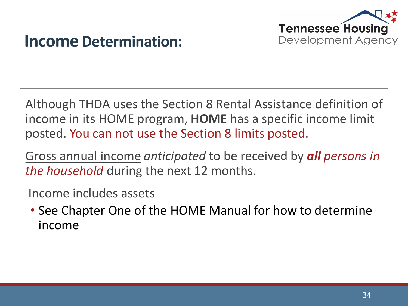

### **Income Determination:**

Although THDA uses the Section 8 Rental Assistance definition of income in its HOME program, **HOME** has a specific income limit posted. You can not use the Section 8 limits posted.

Gross annual income *anticipated* to be received by *all persons in the household* during the next 12 months.

Income includes assets

• See Chapter One of the HOME Manual for how to determine income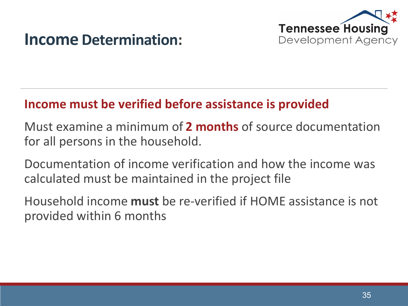

### **Income Determination:**

#### **Income must be verified before assistance is provided**

Must examine a minimum of **2 months** of source documentation for all persons in the household.

Documentation of income verification and how the income was calculated must be maintained in the project file

Household income **must** be re-verified if HOME assistance is not provided within 6 months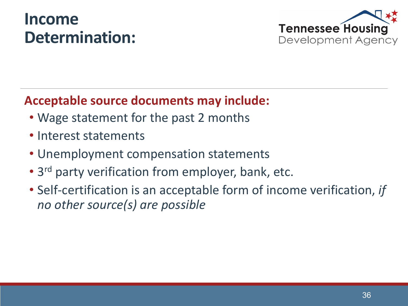### **Income Determination:**



#### **Acceptable source documents may include:**

- Wage statement for the past 2 months
- Interest statements
- Unemployment compensation statements
- 3<sup>rd</sup> party verification from employer, bank, etc.
- Self-certification is an acceptable form of income verification, *if no other source(s) are possible*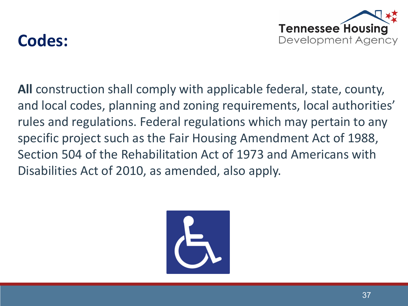

# **Codes:**

**All** construction shall comply with applicable federal, state, county, and local codes, planning and zoning requirements, local authorities' rules and regulations. Federal regulations which may pertain to any specific project such as the Fair Housing Amendment Act of 1988, Section 504 of the Rehabilitation Act of 1973 and Americans with Disabilities Act of 2010, as amended, also apply.

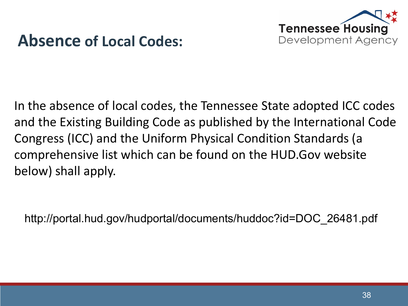

### **Absence of Local Codes:**

In the absence of local codes, the Tennessee State adopted ICC codes and the Existing Building Code as published by the International Code Congress (ICC) and the Uniform Physical Condition Standards (a comprehensive list which can be found on the HUD.Gov website below) shall apply.

http://portal.hud.gov/hudportal/documents/huddoc?id=DOC\_26481.pdf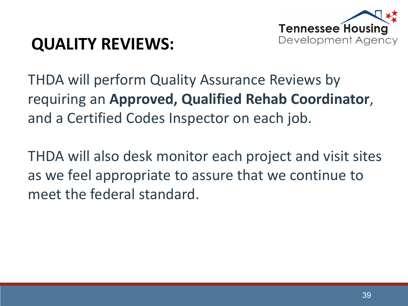

# **QUALITY REVIEWS:**

THDA will perform Quality Assurance Reviews by requiring an **Approved, Qualified Rehab Coordinator**, and a Certified Codes Inspector on each job.

THDA will also desk monitor each project and visit sites as we feel appropriate to assure that we continue to meet the federal standard.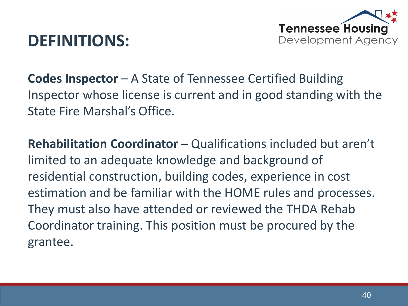

### **DEFINITIONS:**

**Codes Inspector** – A State of Tennessee Certified Building Inspector whose license is current and in good standing with the State Fire Marshal's Office.

**Rehabilitation Coordinator** – Qualifications included but aren't limited to an adequate knowledge and background of residential construction, building codes, experience in cost estimation and be familiar with the HOME rules and processes. They must also have attended or reviewed the THDA Rehab Coordinator training. This position must be procured by the grantee.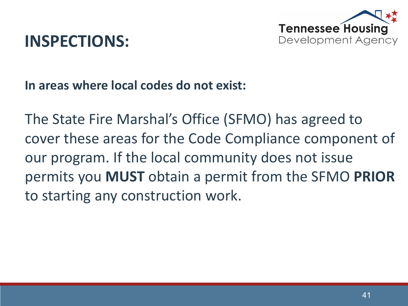

### **INSPECTIONS:**

**In areas where local codes do not exist:**

The State Fire Marshal's Office (SFMO) has agreed to cover these areas for the Code Compliance component of our program. If the local community does not issue permits you **MUST** obtain a permit from the SFMO **PRIOR** to starting any construction work.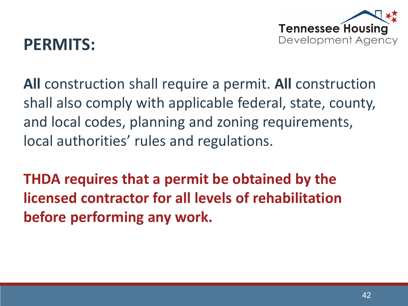

### **PERMITS:**

**All** construction shall require a permit. **All** construction shall also comply with applicable federal, state, county, and local codes, planning and zoning requirements, local authorities' rules and regulations.

**THDA requires that a permit be obtained by the licensed contractor for all levels of rehabilitation before performing any work.**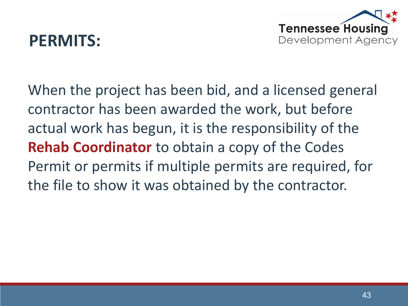

### **PERMITS:**

When the project has been bid, and a licensed general contractor has been awarded the work, but before actual work has begun, it is the responsibility of the **Rehab Coordinator** to obtain a copy of the Codes Permit or permits if multiple permits are required, for the file to show it was obtained by the contractor.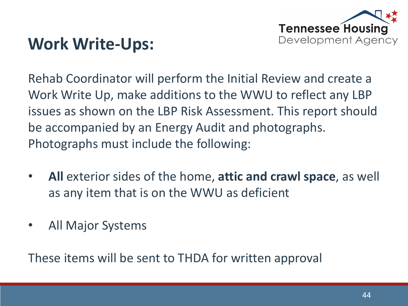

Rehab Coordinator will perform the Initial Review and create a Work Write Up, make additions to the WWU to reflect any LBP issues as shown on the LBP Risk Assessment. This report should be accompanied by an Energy Audit and photographs. Photographs must include the following:

- **All** exterior sides of the home, **attic and crawl space**, as well as any item that is on the WWU as deficient
- All Major Systems

These items will be sent to THDA for written approval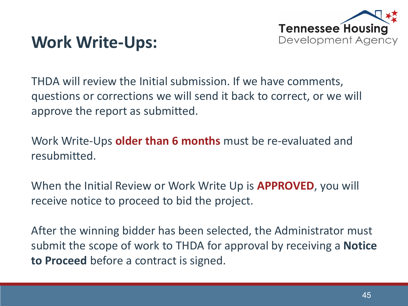

THDA will review the Initial submission. If we have comments, questions or corrections we will send it back to correct, or we will approve the report as submitted.

Work Write-Ups **older than 6 months** must be re-evaluated and resubmitted.

When the Initial Review or Work Write Up is **APPROVED**, you will receive notice to proceed to bid the project.

After the winning bidder has been selected, the Administrator must submit the scope of work to THDA for approval by receiving a **Notice to Proceed** before a contract is signed.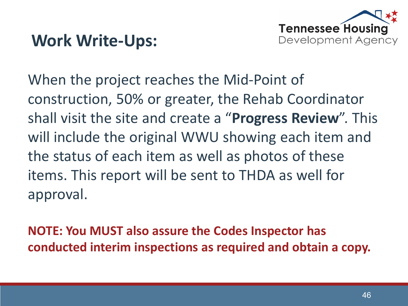

When the project reaches the Mid-Point of construction, 50% or greater, the Rehab Coordinator shall visit the site and create a "**Progress Review**". This will include the original WWU showing each item and the status of each item as well as photos of these items. This report will be sent to THDA as well for approval.

**NOTE: You MUST also assure the Codes Inspector has conducted interim inspections as required and obtain a copy.**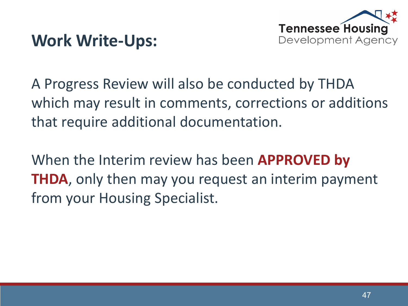

A Progress Review will also be conducted by THDA which may result in comments, corrections or additions that require additional documentation.

When the Interim review has been **APPROVED by THDA**, only then may you request an interim payment from your Housing Specialist.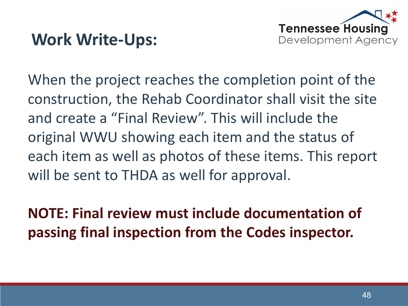

When the project reaches the completion point of the construction, the Rehab Coordinator shall visit the site and create a "Final Review". This will include the original WWU showing each item and the status of each item as well as photos of these items. This report will be sent to THDA as well for approval.

**NOTE: Final review must include documentation of passing final inspection from the Codes inspector.**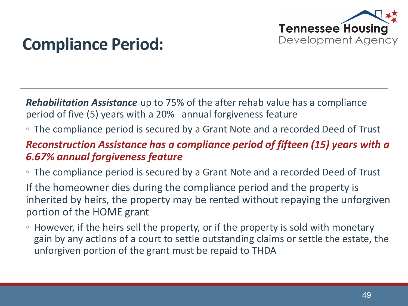

# **Compliance Period:**

*Rehabilitation Assistance* up to 75% of the after rehab value has a compliance period of five (5) years with a 20% annual forgiveness feature

◦ The compliance period is secured by a Grant Note and a recorded Deed of Trust

#### *Reconstruction Assistance has a compliance period of fifteen (15) years with a 6.67% annual forgiveness feature*

◦ The compliance period is secured by a Grant Note and a recorded Deed of Trust

If the homeowner dies during the compliance period and the property is inherited by heirs, the property may be rented without repaying the unforgiven portion of the HOME grant

◦ However, if the heirs sell the property, or if the property is sold with monetary gain by any actions of a court to settle outstanding claims or settle the estate, the unforgiven portion of the grant must be repaid to THDA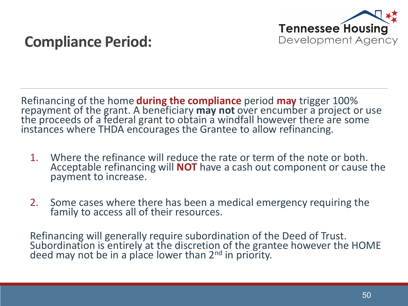

### **Compliance Period:**

Refinancing of the home **during the compliance** period **may** trigger 100% repayment of the grant. A beneficiary **may not** over encumber a project or use the proceeds of a federal grant to obtain a windfall however there ar instances where THDA encourages the Grantee to allow refinancing.

- 1. Where the refinance will reduce the rate or term of the note or both. Acceptable refinancing will **NOT** have a cash out component or cause the payment to increase.
- 2. Some cases where there has been a medical emergency requiring the family to access all of their resources.

Refinancing will generally require subordination of the Deed of Trust. Subordination is entirely at the discretion of the grantee however the HOME deed may not be in a place lower than 2<sup>nd</sup> in priority.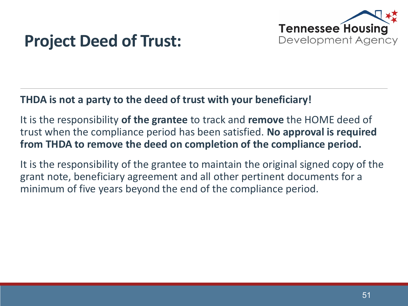

# **Project Deed of Trust:**

#### **THDA is not a party to the deed of trust with your beneficiary!**

It is the responsibility **of the grantee** to track and **remove** the HOME deed of trust when the compliance period has been satisfied. **No approval is required from THDA to remove the deed on completion of the compliance period.**

It is the responsibility of the grantee to maintain the original signed copy of the grant note, beneficiary agreement and all other pertinent documents for a minimum of five years beyond the end of the compliance period.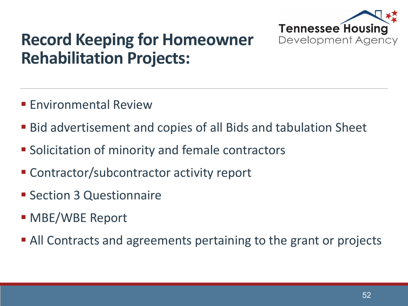

- **Environmental Review**
- Bid advertisement and copies of all Bids and tabulation Sheet
- **Solicitation of minority and female contractors**
- Contractor/subcontractor activity report
- **Section 3 Questionnaire**
- MBE/WBE Report
- All Contracts and agreements pertaining to the grant or projects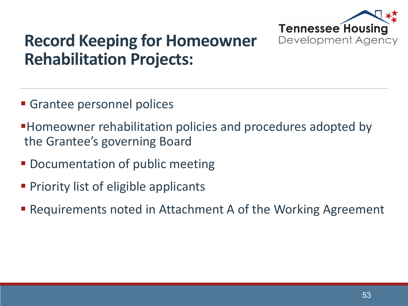

- **Grantee personnel polices**
- Homeowner rehabilitation policies and procedures adopted by the Grantee's governing Board
- **Documentation of public meeting**
- **Priority list of eligible applicants**
- **Requirements noted in Attachment A of the Working Agreement**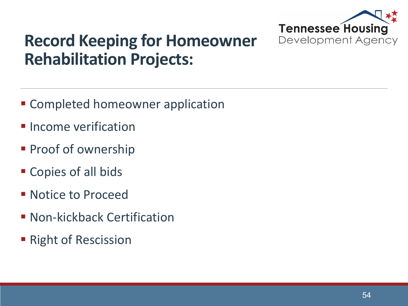

- **EX Completed homeowner application**
- $\blacksquare$  Income verification
- **Proof of ownership**
- Copies of all bids
- **Notice to Proceed**
- **Non-kickback Certification**
- **Right of Rescission**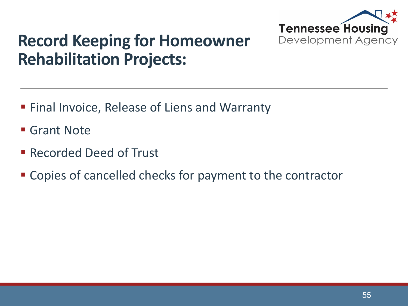

- **Final Invoice, Release of Liens and Warranty**
- Grant Note
- Recorded Deed of Trust
- **Example 3 Copies of cancelled checks for payment to the contractor**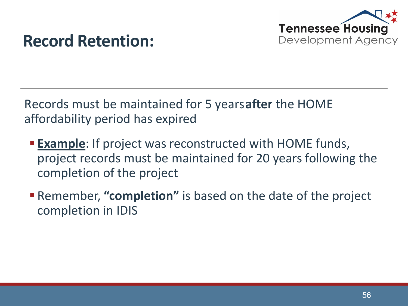

# **Record Retention:**

Records must be maintained for 5 years **after** the HOME affordability period has expired

- **Example:** If project was reconstructed with HOME funds, project records must be maintained for 20 years following the completion of the project
- Remember, **"completion"** is based on the date of the project completion in IDIS